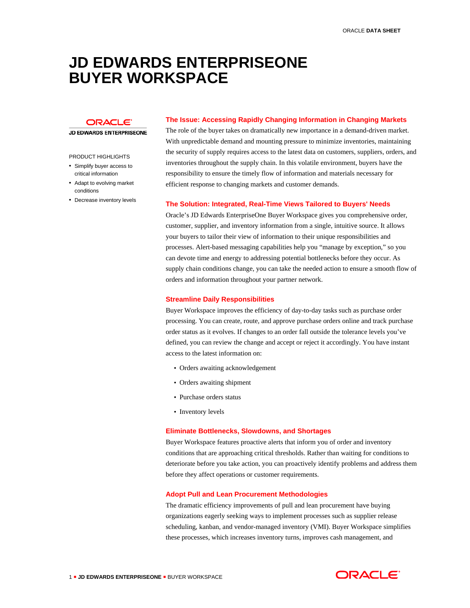# **JD EDWARDS ENTERPRISEONE BUYER WORKSPACE**

ORACLE<sup>®</sup>

#### **JD EDWARDS ENTERPRISEONE**

## PRODUCT HIGHLIGHTS

- Simplify buyer access to critical information
- Adapt to evolving market conditions
- Decrease inventory levels

## **The Issue: Accessing Rapidly Changing Information in Changing Markets**

The role of the buyer takes on dramatically new importance in a demand-driven market. With unpredictable demand and mounting pressure to minimize inventories, maintaining the security of supply requires access to the latest data on customers, suppliers, orders, and inventories throughout the supply chain. In this volatile environment, buyers have the responsibility to ensure the timely flow of information and materials necessary for efficient response to changing markets and customer demands.

## **The Solution: Integrated, Real-Time Views Tailored to Buyers' Needs**

Oracle's JD Edwards EnterpriseOne Buyer Workspace gives you comprehensive order, customer, supplier, and inventory information from a single, intuitive source. It allows your buyers to tailor their view of information to their unique responsibilities and processes. Alert-based messaging capabilities help you "manage by exception," so you can devote time and energy to addressing potential bottlenecks before they occur. As supply chain conditions change, you can take the needed action to ensure a smooth flow of orders and information throughout your partner network.

## **Streamline Daily Responsibilities**

Buyer Workspace improves the efficiency of day-to-day tasks such as purchase order processing. You can create, route, and approve purchase orders online and track purchase order status as it evolves. If changes to an order fall outside the tolerance levels you've defined, you can review the change and accept or reject it accordingly. You have instant access to the latest information on:

- Orders awaiting acknowledgement
- Orders awaiting shipment
- Purchase orders status
- Inventory levels

## **Eliminate Bottlenecks, Slowdowns, and Shortages**

Buyer Workspace features proactive alerts that inform you of order and inventory conditions that are approaching critical thresholds. Rather than waiting for conditions to deteriorate before you take action, you can proactively identify problems and address them before they affect operations or customer requirements.

## **Adopt Pull and Lean Procurement Methodologies**

The dramatic efficiency improvements of pull and lean procurement have buying organizations eagerly seeking ways to implement processes such as supplier release scheduling, kanban, and vendor-managed inventory (VMI). Buyer Workspace simplifies these processes, which increases inventory turns, improves cash management, and